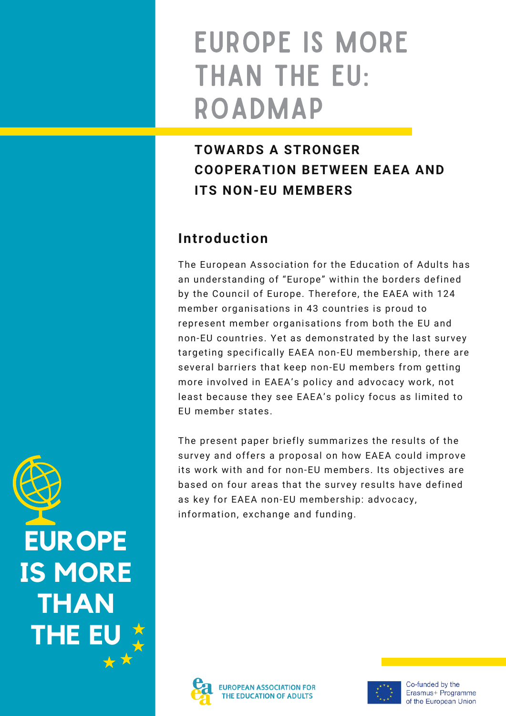# EUROPE IS MORE THAN THE EU: ROADMAP

# **TOWARDS A STRONGER COOPERATION BETWEEN EAEA AND ITS NON-EU MEMBERS**

## **Introduction**

The European Association for the Education of Adults has an understanding of "Europe" within the borders defined by the Council of Europe. Therefore, the EAEA with 124 member organisations in 43 countries is proud to represent member organisations from both the EU and non-EU countries. Yet as demonstrated by the last survey targeting specifically EAEA non-EU membership, there are several barriers that keep non-EU members from getting more involved in EAEA's policy and advocacy work, not least because they see EAEA's policy focus as limited to EU member states.

The present paper briefly summarizes the results of the survey and offers a proposal on how EAEA could improve its work with and for non-EU members. Its objectives are based on four areas that the survey results have defined as key for EAEA non-EU membership: advocacy, information, exchange and funding.





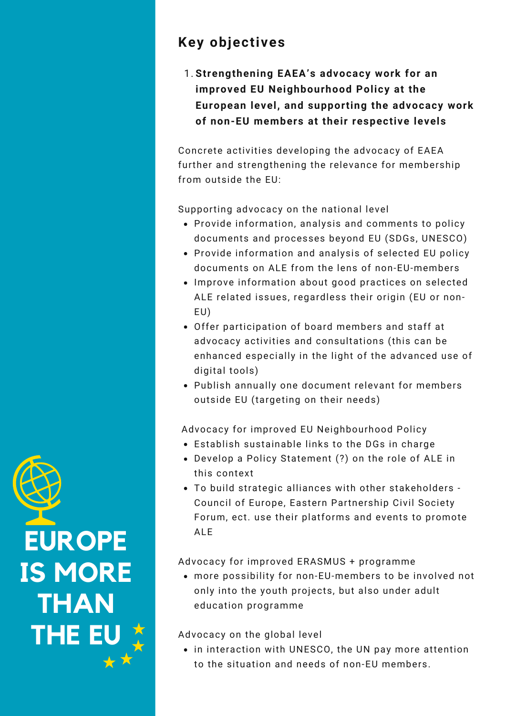## **Key objectives**

**Strengthening EAEA's advocacy work for an** 1.**improved EU Neighbourhood Policy at the European level, and supporting the advocacy work of non-EU members at their respective levels**

Concrete activities developing the advocacy of EAEA further and strengthening the relevance for membership from outside the EU:

Supporting advocacy on the national level

- Provide information, analysis and comments to policy documents and processes beyond EU (SDGs, UNESCO)
- Provide information and analysis of selected EU policy documents on ALE from the lens of non-EU-members
- Improve information about good practices on selected ALE related issues, regardless their origin (EU or non-EU)
- Offer participation of board members and staff at advocacy activities and consultations (this can be enhanced especially in the light of the advanced use of digital tools)
- Publish annually one document relevant for members outside EU (targeting on their needs)

Advocacy for improved EU Neighbourhood Policy

- Establish sustainable links to the DGs in charge
- Develop a Policy Statement (?) on the role of ALE in this context
- To build strategic alliances with other stakeholders Council of Europe, Eastern Partnership Civil Society Forum, ect. use their platforms and events to promote ALE

Advocacy for improved ERASMUS + programme

more possibility for non-EU-members to be involved not only into the youth projects, but also under adult education programme

#### Advocacy on the global level

• in interaction with UNESCO, the UN pay more attention to the situation and needs of non-EU members.